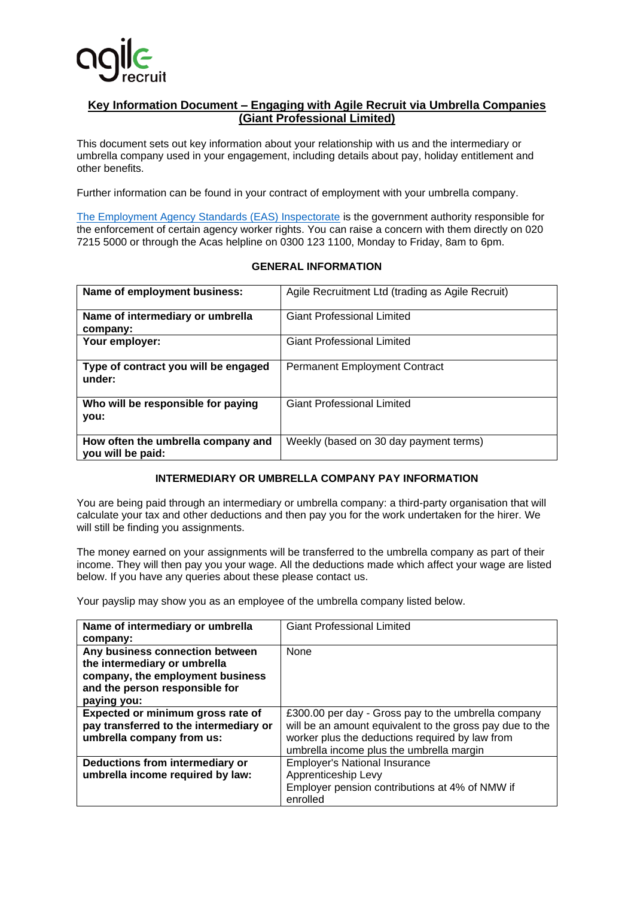

## **Key Information Document – Engaging with Agile Recruit via Umbrella Companies (Giant Professional Limited)**

This document sets out key information about your relationship with us and the intermediary or umbrella company used in your engagement, including details about pay, holiday entitlement and other benefits.

Further information can be found in your contract of employment with your umbrella company.

[The Employment Agency Standards \(EAS\) Inspectorate](https://www.gov.uk/government/organisations/employment-agency-standards-inspectorate) is the government authority responsible for the enforcement of certain agency worker rights. You can raise a concern with them directly on 020 7215 5000 or through the Acas helpline on 0300 123 1100, Monday to Friday, 8am to 6pm.

| Name of employment business:                            | Agile Recruitment Ltd (trading as Agile Recruit) |  |
|---------------------------------------------------------|--------------------------------------------------|--|
| Name of intermediary or umbrella<br>company:            | <b>Giant Professional Limited</b>                |  |
| Your employer:                                          | <b>Giant Professional Limited</b>                |  |
| Type of contract you will be engaged<br>under:          | <b>Permanent Employment Contract</b>             |  |
| Who will be responsible for paying<br>you:              | <b>Giant Professional Limited</b>                |  |
| How often the umbrella company and<br>you will be paid: | Weekly (based on 30 day payment terms)           |  |

## **GENERAL INFORMATION**

## **INTERMEDIARY OR UMBRELLA COMPANY PAY INFORMATION**

You are being paid through an intermediary or umbrella company: a third-party organisation that will calculate your tax and other deductions and then pay you for the work undertaken for the hirer. We will still be finding you assignments.

The money earned on your assignments will be transferred to the umbrella company as part of their income. They will then pay you your wage. All the deductions made which affect your wage are listed below. If you have any queries about these please contact us.

Your payslip may show you as an employee of the umbrella company listed below.

| Name of intermediary or umbrella<br>company:                                                                                                         | <b>Giant Professional Limited</b>                                                                                                                                                                              |
|------------------------------------------------------------------------------------------------------------------------------------------------------|----------------------------------------------------------------------------------------------------------------------------------------------------------------------------------------------------------------|
| Any business connection between<br>the intermediary or umbrella<br>company, the employment business<br>and the person responsible for<br>paying you: | None                                                                                                                                                                                                           |
| Expected or minimum gross rate of<br>pay transferred to the intermediary or<br>umbrella company from us:                                             | £300.00 per day - Gross pay to the umbrella company<br>will be an amount equivalent to the gross pay due to the<br>worker plus the deductions required by law from<br>umbrella income plus the umbrella margin |
| Deductions from intermediary or<br>umbrella income required by law:                                                                                  | <b>Employer's National Insurance</b><br>Apprenticeship Levy<br>Employer pension contributions at 4% of NMW if<br>enrolled                                                                                      |